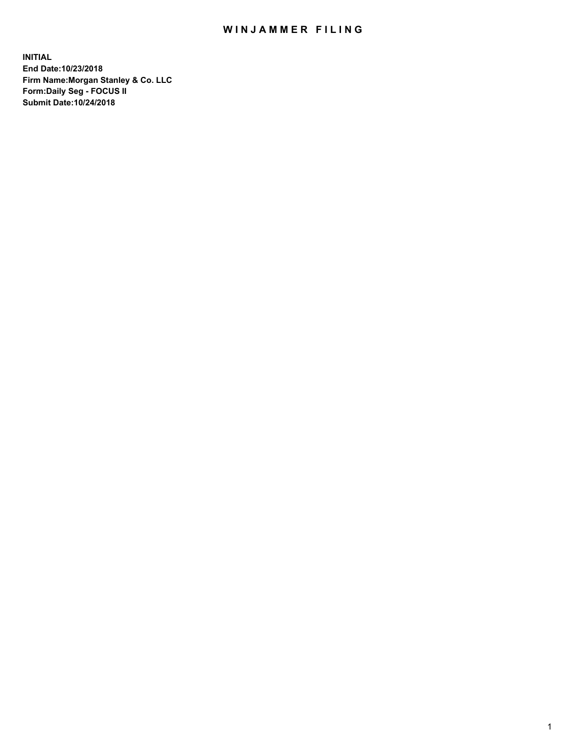## WIN JAMMER FILING

**INITIAL End Date:10/23/2018 Firm Name:Morgan Stanley & Co. LLC Form:Daily Seg - FOCUS II Submit Date:10/24/2018**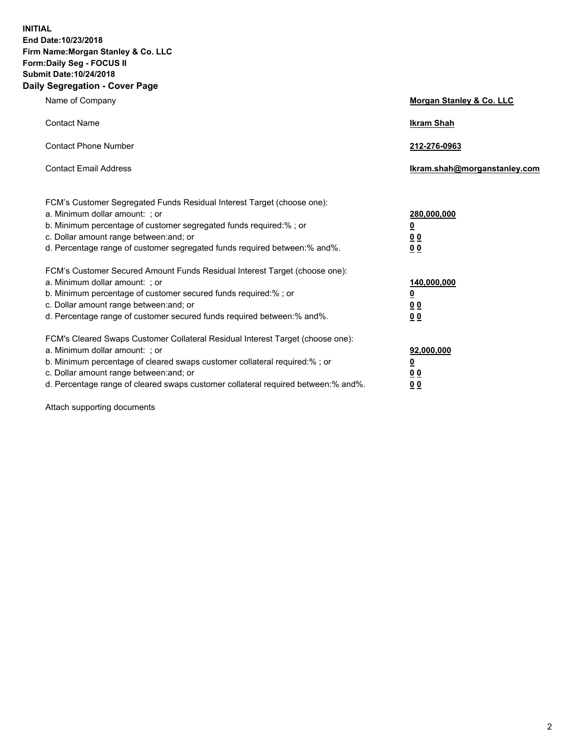**INITIAL End Date:10/23/2018 Firm Name:Morgan Stanley & Co. LLC Form:Daily Seg - FOCUS II Submit Date:10/24/2018 Daily Segregation - Cover Page**

| Name of Company                                                                   | Morgan Stanley & Co. LLC     |
|-----------------------------------------------------------------------------------|------------------------------|
| <b>Contact Name</b>                                                               | <b>Ikram Shah</b>            |
| <b>Contact Phone Number</b>                                                       | 212-276-0963                 |
| <b>Contact Email Address</b>                                                      | Ikram.shah@morganstanley.com |
| FCM's Customer Segregated Funds Residual Interest Target (choose one):            |                              |
| a. Minimum dollar amount: ; or                                                    | 280,000,000                  |
| b. Minimum percentage of customer segregated funds required:% ; or                | <u>0</u>                     |
| c. Dollar amount range between: and; or                                           | <u>0 0</u>                   |
| d. Percentage range of customer segregated funds required between: % and %.       | 0 Q                          |
| FCM's Customer Secured Amount Funds Residual Interest Target (choose one):        |                              |
| a. Minimum dollar amount: ; or                                                    | 140,000,000                  |
| b. Minimum percentage of customer secured funds required:%; or                    | <u>0</u>                     |
| c. Dollar amount range between: and; or                                           | 0 <sub>0</sub>               |
| d. Percentage range of customer secured funds required between:% and%.            | 0 <sub>0</sub>               |
| FCM's Cleared Swaps Customer Collateral Residual Interest Target (choose one):    |                              |
| a. Minimum dollar amount: ; or                                                    | 92,000,000                   |
| b. Minimum percentage of cleared swaps customer collateral required:% ; or        | <u>0</u>                     |
| c. Dollar amount range between: and; or                                           | 0 Q                          |
| d. Percentage range of cleared swaps customer collateral required between:% and%. | 00                           |

Attach supporting documents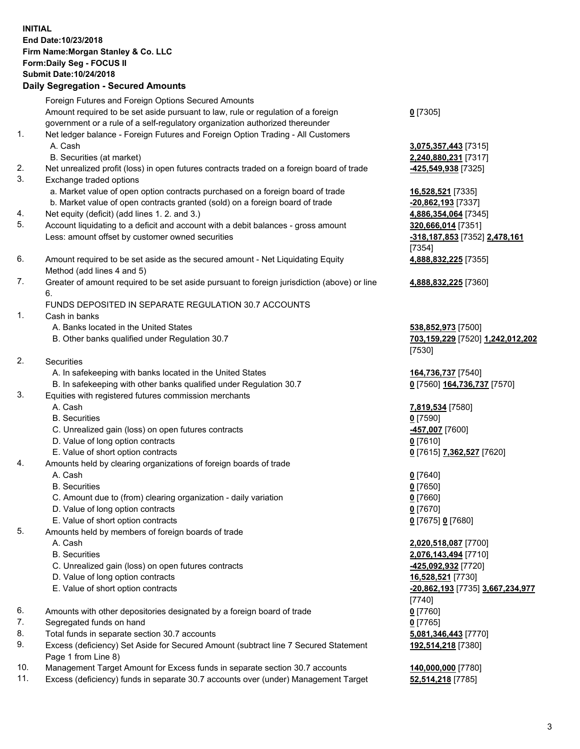## **INITIAL End Date:10/23/2018 Firm Name:Morgan Stanley & Co. LLC Form:Daily Seg - FOCUS II Submit Date:10/24/2018**

## **Daily Segregation - Secured Amounts**

Foreign Futures and Foreign Options Secured Amounts Amount required to be set aside pursuant to law, rule or regulation of a foreign government or a rule of a self-regulatory organization authorized thereunder 1. Net ledger balance - Foreign Futures and Foreign Option Trading - All Customers A. Cash **3,075,357,443** [7315] B. Securities (at market) **2,240,880,231** [7317] 2. Net unrealized profit (loss) in open futures contracts traded on a foreign board of trade **-425,549,938** [7325] 3. Exchange traded options a. Market value of open option contracts purchased on a foreign board of trade **16,528,521** [7335] b. Market value of open contracts granted (sold) on a foreign board of trade **-20,862,193** [7337] 4. Net equity (deficit) (add lines 1. 2. and 3.) **4,886,354,064** [7345] 5. Account liquidating to a deficit and account with a debit balances - gross amount **320,666,014** [7351] Less: amount offset by customer owned securities **-318,187,853** [7352] **2,478,161** 6. Amount required to be set aside as the secured amount - Net Liquidating Equity Method (add lines 4 and 5) 7. Greater of amount required to be set aside pursuant to foreign jurisdiction (above) or line 6. FUNDS DEPOSITED IN SEPARATE REGULATION 30.7 ACCOUNTS 1. Cash in banks A. Banks located in the United States **538,852,973** [7500] B. Other banks qualified under Regulation 30.7 **703,159,229** [7520] **1,242,012,202**

- 2. Securities
	- A. In safekeeping with banks located in the United States **164,736,737** [7540]
	- B. In safekeeping with other banks qualified under Regulation 30.7 **0** [7560] **164,736,737** [7570]
- 3. Equities with registered futures commission merchants
	-
	- B. Securities **0** [7590]
	- C. Unrealized gain (loss) on open futures contracts **-457,007** [7600]
	- D. Value of long option contracts **0** [7610]
- E. Value of short option contracts **0** [7615] **7,362,527** [7620]
- 4. Amounts held by clearing organizations of foreign boards of trade
	- A. Cash **0** [7640]
	- B. Securities **0** [7650]
	- C. Amount due to (from) clearing organization daily variation **0** [7660]
	- D. Value of long option contracts **0** [7670]
	- E. Value of short option contracts **0** [7675] **0** [7680]
- 5. Amounts held by members of foreign boards of trade
	-
	-
	- C. Unrealized gain (loss) on open futures contracts **-425,092,932** [7720]
	- D. Value of long option contracts **16,528,521** [7730]
	- E. Value of short option contracts **-20,862,193** [7735] **3,667,234,977**
- 6. Amounts with other depositories designated by a foreign board of trade **0** [7760]
- 7. Segregated funds on hand **0** [7765]
- 8. Total funds in separate section 30.7 accounts **5,081,346,443** [7770]
- 9. Excess (deficiency) Set Aside for Secured Amount (subtract line 7 Secured Statement Page 1 from Line 8)
- 10. Management Target Amount for Excess funds in separate section 30.7 accounts **140,000,000** [7780]
- 11. Excess (deficiency) funds in separate 30.7 accounts over (under) Management Target **52,514,218** [7785]

**0** [7305]

[7354] **4,888,832,225** [7355]

**4,888,832,225** [7360]

[7530]

A. Cash **7,819,534** [7580]

 A. Cash **2,020,518,087** [7700] B. Securities **2,076,143,494** [7710] [7740] **192,514,218** [7380]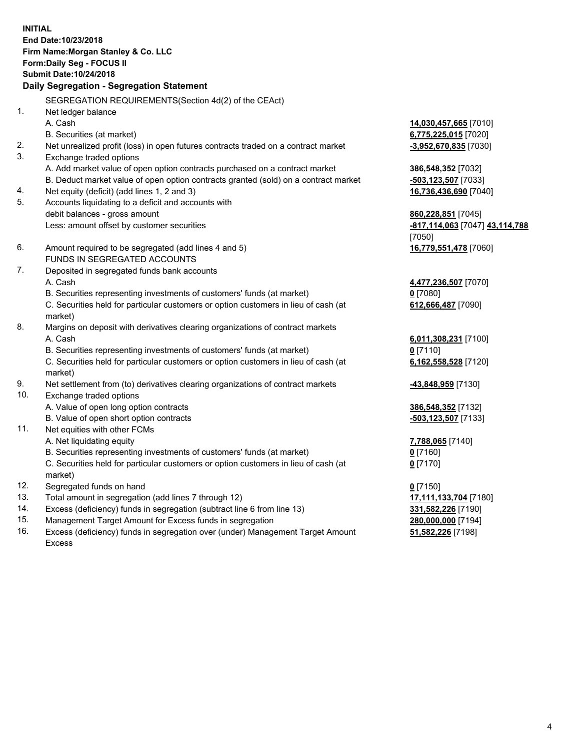**INITIAL End Date:10/23/2018 Firm Name:Morgan Stanley & Co. LLC Form:Daily Seg - FOCUS II Submit Date:10/24/2018 Daily Segregation - Segregation Statement** SEGREGATION REQUIREMENTS(Section 4d(2) of the CEAct) 1. Net ledger balance A. Cash **14,030,457,665** [7010] B. Securities (at market) **6,775,225,015** [7020] 2. Net unrealized profit (loss) in open futures contracts traded on a contract market **-3,952,670,835** [7030] 3. Exchange traded options A. Add market value of open option contracts purchased on a contract market **386,548,352** [7032] B. Deduct market value of open option contracts granted (sold) on a contract market **-503,123,507** [7033] 4. Net equity (deficit) (add lines 1, 2 and 3) **16,736,436,690** [7040] 5. Accounts liquidating to a deficit and accounts with debit balances - gross amount **860,228,851** [7045] Less: amount offset by customer securities **-817,114,063** [7047] **43,114,788** [7050] 6. Amount required to be segregated (add lines 4 and 5) **16,779,551,478** [7060] FUNDS IN SEGREGATED ACCOUNTS 7. Deposited in segregated funds bank accounts A. Cash **4,477,236,507** [7070] B. Securities representing investments of customers' funds (at market) **0** [7080] C. Securities held for particular customers or option customers in lieu of cash (at market) **612,666,487** [7090] 8. Margins on deposit with derivatives clearing organizations of contract markets A. Cash **6,011,308,231** [7100] B. Securities representing investments of customers' funds (at market) **0** [7110] C. Securities held for particular customers or option customers in lieu of cash (at market) **6,162,558,528** [7120] 9. Net settlement from (to) derivatives clearing organizations of contract markets **-43,848,959** [7130] 10. Exchange traded options A. Value of open long option contracts **386,548,352** [7132] B. Value of open short option contracts **and the set of our original state of the set of open** short option contracts 11. Net equities with other FCMs A. Net liquidating equity **7,788,065** [7140] B. Securities representing investments of customers' funds (at market) **0** [7160] C. Securities held for particular customers or option customers in lieu of cash (at market) **0** [7170] 12. Segregated funds on hand **0** [7150] 13. Total amount in segregation (add lines 7 through 12) **17,111,133,704** [7180] 14. Excess (deficiency) funds in segregation (subtract line 6 from line 13) **331,582,226** [7190]

- 15. Management Target Amount for Excess funds in segregation **280,000,000** [7194]
- 16. Excess (deficiency) funds in segregation over (under) Management Target Amount Excess

**51,582,226** [7198]